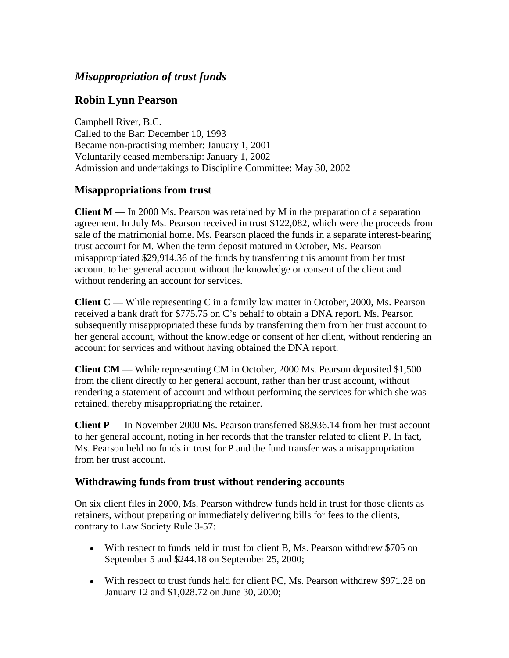# *Misappropriation of trust funds*

## **Robin Lynn Pearson**

Campbell River, B.C. Called to the Bar: December 10, 1993 Became non-practising member: January 1, 2001 Voluntarily ceased membership: January 1, 2002 Admission and undertakings to Discipline Committee: May 30, 2002

## **Misappropriations from trust**

**Client M** — In 2000 Ms. Pearson was retained by M in the preparation of a separation agreement. In July Ms. Pearson received in trust \$122,082, which were the proceeds from sale of the matrimonial home. Ms. Pearson placed the funds in a separate interest-bearing trust account for M. When the term deposit matured in October, Ms. Pearson misappropriated \$29,914.36 of the funds by transferring this amount from her trust account to her general account without the knowledge or consent of the client and without rendering an account for services.

**Client C** — While representing C in a family law matter in October, 2000, Ms. Pearson received a bank draft for \$775.75 on C's behalf to obtain a DNA report. Ms. Pearson subsequently misappropriated these funds by transferring them from her trust account to her general account, without the knowledge or consent of her client, without rendering an account for services and without having obtained the DNA report.

**Client CM** — While representing CM in October, 2000 Ms. Pearson deposited \$1,500 from the client directly to her general account, rather than her trust account, without rendering a statement of account and without performing the services for which she was retained, thereby misappropriating the retainer.

**Client P** — In November 2000 Ms. Pearson transferred \$8,936.14 from her trust account to her general account, noting in her records that the transfer related to client P. In fact, Ms. Pearson held no funds in trust for P and the fund transfer was a misappropriation from her trust account.

#### **Withdrawing funds from trust without rendering accounts**

On six client files in 2000, Ms. Pearson withdrew funds held in trust for those clients as retainers, without preparing or immediately delivering bills for fees to the clients, contrary to Law Society Rule 3-57:

- With respect to funds held in trust for client B, Ms. Pearson withdrew \$705 on September 5 and \$244.18 on September 25, 2000;
- With respect to trust funds held for client PC, Ms. Pearson withdrew \$971.28 on January 12 and \$1,028.72 on June 30, 2000;